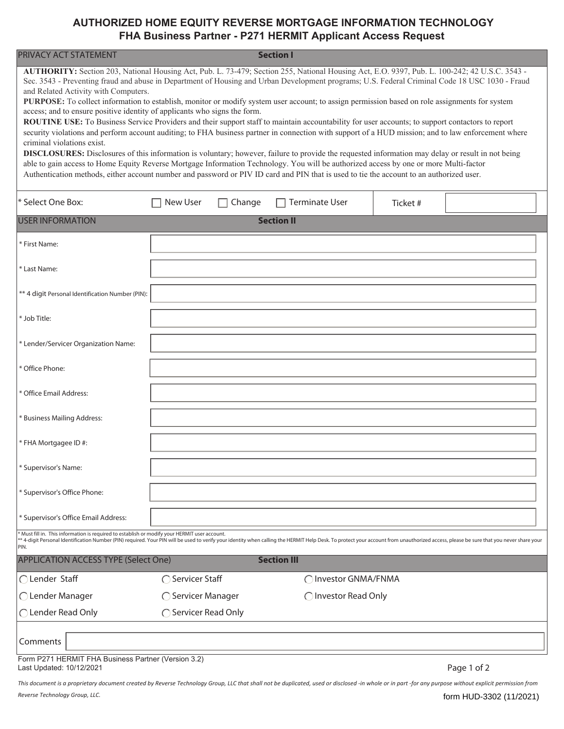## **AUTHORIZED HOME EQUITY REVERSE MORTGAGE INFORMATION TECHNOLOGY FHA Business Partner - P271 HERMIT Applicant Access Request**

| <b>PRIVACY ACT STATEMENT</b>                                                                                                                                                                                                                                                                                                                                                                                                                                                                                                                                                                                                                                                                                                                                                                                                                                                                                                                                                                                                                                                                                                                                                                                                                                                                                                                                     |                      |        | <b>Section I</b>      |         |             |  |  |  |  |  |
|------------------------------------------------------------------------------------------------------------------------------------------------------------------------------------------------------------------------------------------------------------------------------------------------------------------------------------------------------------------------------------------------------------------------------------------------------------------------------------------------------------------------------------------------------------------------------------------------------------------------------------------------------------------------------------------------------------------------------------------------------------------------------------------------------------------------------------------------------------------------------------------------------------------------------------------------------------------------------------------------------------------------------------------------------------------------------------------------------------------------------------------------------------------------------------------------------------------------------------------------------------------------------------------------------------------------------------------------------------------|----------------------|--------|-----------------------|---------|-------------|--|--|--|--|--|
| AUTHORITY: Section 203, National Housing Act, Pub. L. 73-479; Section 255, National Housing Act, E.O. 9397, Pub. L. 100-242; 42 U.S.C. 3543 -<br>Sec. 3543 - Preventing fraud and abuse in Department of Housing and Urban Development programs; U.S. Federal Criminal Code 18 USC 1030 - Fraud<br>and Related Activity with Computers.<br>PURPOSE: To collect information to establish, monitor or modify system user account; to assign permission based on role assignments for system<br>access; and to ensure positive identity of applicants who signs the form.<br>ROUTINE USE: To Business Service Providers and their support staff to maintain accountability for user accounts; to support contactors to report<br>security violations and perform account auditing; to FHA business partner in connection with support of a HUD mission; and to law enforcement where<br>criminal violations exist.<br><b>DISCLOSURES:</b> Disclosures of this information is voluntary; however, failure to provide the requested information may delay or result in not being<br>able to gain access to Home Equity Reverse Mortgage Information Technology. You will be authorized access by one or more Multi-factor<br>Authentication methods, either account number and password or PIV ID card and PIN that is used to tie the account to an authorized user. |                      |        |                       |         |             |  |  |  |  |  |
| * Select One Box:                                                                                                                                                                                                                                                                                                                                                                                                                                                                                                                                                                                                                                                                                                                                                                                                                                                                                                                                                                                                                                                                                                                                                                                                                                                                                                                                                | New User             | Change | <b>Terminate User</b> | Ticket# |             |  |  |  |  |  |
| <b>USER INFORMATION</b><br><b>Section II</b>                                                                                                                                                                                                                                                                                                                                                                                                                                                                                                                                                                                                                                                                                                                                                                                                                                                                                                                                                                                                                                                                                                                                                                                                                                                                                                                     |                      |        |                       |         |             |  |  |  |  |  |
| * First Name:                                                                                                                                                                                                                                                                                                                                                                                                                                                                                                                                                                                                                                                                                                                                                                                                                                                                                                                                                                                                                                                                                                                                                                                                                                                                                                                                                    |                      |        |                       |         |             |  |  |  |  |  |
| * Last Name:                                                                                                                                                                                                                                                                                                                                                                                                                                                                                                                                                                                                                                                                                                                                                                                                                                                                                                                                                                                                                                                                                                                                                                                                                                                                                                                                                     |                      |        |                       |         |             |  |  |  |  |  |
| ** 4 digit Personal Identification Number (PIN):                                                                                                                                                                                                                                                                                                                                                                                                                                                                                                                                                                                                                                                                                                                                                                                                                                                                                                                                                                                                                                                                                                                                                                                                                                                                                                                 |                      |        |                       |         |             |  |  |  |  |  |
| * Job Title:                                                                                                                                                                                                                                                                                                                                                                                                                                                                                                                                                                                                                                                                                                                                                                                                                                                                                                                                                                                                                                                                                                                                                                                                                                                                                                                                                     |                      |        |                       |         |             |  |  |  |  |  |
| * Lender/Servicer Organization Name:                                                                                                                                                                                                                                                                                                                                                                                                                                                                                                                                                                                                                                                                                                                                                                                                                                                                                                                                                                                                                                                                                                                                                                                                                                                                                                                             |                      |        |                       |         |             |  |  |  |  |  |
| * Office Phone:                                                                                                                                                                                                                                                                                                                                                                                                                                                                                                                                                                                                                                                                                                                                                                                                                                                                                                                                                                                                                                                                                                                                                                                                                                                                                                                                                  |                      |        |                       |         |             |  |  |  |  |  |
| * Office Email Address:                                                                                                                                                                                                                                                                                                                                                                                                                                                                                                                                                                                                                                                                                                                                                                                                                                                                                                                                                                                                                                                                                                                                                                                                                                                                                                                                          |                      |        |                       |         |             |  |  |  |  |  |
| * Business Mailing Address:                                                                                                                                                                                                                                                                                                                                                                                                                                                                                                                                                                                                                                                                                                                                                                                                                                                                                                                                                                                                                                                                                                                                                                                                                                                                                                                                      |                      |        |                       |         |             |  |  |  |  |  |
| * FHA Mortgagee ID #:                                                                                                                                                                                                                                                                                                                                                                                                                                                                                                                                                                                                                                                                                                                                                                                                                                                                                                                                                                                                                                                                                                                                                                                                                                                                                                                                            |                      |        |                       |         |             |  |  |  |  |  |
| * Supervisor's Name:                                                                                                                                                                                                                                                                                                                                                                                                                                                                                                                                                                                                                                                                                                                                                                                                                                                                                                                                                                                                                                                                                                                                                                                                                                                                                                                                             |                      |        |                       |         |             |  |  |  |  |  |
| * Supervisor's Office Phone:                                                                                                                                                                                                                                                                                                                                                                                                                                                                                                                                                                                                                                                                                                                                                                                                                                                                                                                                                                                                                                                                                                                                                                                                                                                                                                                                     |                      |        |                       |         |             |  |  |  |  |  |
| * Supervisor's Office Email Address:                                                                                                                                                                                                                                                                                                                                                                                                                                                                                                                                                                                                                                                                                                                                                                                                                                                                                                                                                                                                                                                                                                                                                                                                                                                                                                                             |                      |        |                       |         |             |  |  |  |  |  |
| * Must fill in. This information is required to establish or modify your HERMIT user account.<br>** 4-digit Personal Identification Number (PIN) required. Your PIN will be used to verify your identity when calling the HERMIT Help Desk. To protect your account from unauthorized access, please be sure that you never sha<br>PIN.                                                                                                                                                                                                                                                                                                                                                                                                                                                                                                                                                                                                                                                                                                                                                                                                                                                                                                                                                                                                                          |                      |        |                       |         |             |  |  |  |  |  |
| <b>APPLICATION ACCESS TYPE (Select One)</b>                                                                                                                                                                                                                                                                                                                                                                                                                                                                                                                                                                                                                                                                                                                                                                                                                                                                                                                                                                                                                                                                                                                                                                                                                                                                                                                      |                      |        | <b>Section III</b>    |         |             |  |  |  |  |  |
| ◯ Lender Staff                                                                                                                                                                                                                                                                                                                                                                                                                                                                                                                                                                                                                                                                                                                                                                                                                                                                                                                                                                                                                                                                                                                                                                                                                                                                                                                                                   | ◯ Servicer Staff     |        | ◯ Investor GNMA/FNMA  |         |             |  |  |  |  |  |
| ◯ Lender Manager                                                                                                                                                                                                                                                                                                                                                                                                                                                                                                                                                                                                                                                                                                                                                                                                                                                                                                                                                                                                                                                                                                                                                                                                                                                                                                                                                 | ◯ Servicer Manager   |        | ◯ Investor Read Only  |         |             |  |  |  |  |  |
| ◯ Lender Read Only                                                                                                                                                                                                                                                                                                                                                                                                                                                                                                                                                                                                                                                                                                                                                                                                                                                                                                                                                                                                                                                                                                                                                                                                                                                                                                                                               | ◯ Servicer Read Only |        |                       |         |             |  |  |  |  |  |
| Comments                                                                                                                                                                                                                                                                                                                                                                                                                                                                                                                                                                                                                                                                                                                                                                                                                                                                                                                                                                                                                                                                                                                                                                                                                                                                                                                                                         |                      |        |                       |         |             |  |  |  |  |  |
| Form P271 HERMIT FHA Business Partner (Version 3.2)<br>Last Updated: 10/12/2021                                                                                                                                                                                                                                                                                                                                                                                                                                                                                                                                                                                                                                                                                                                                                                                                                                                                                                                                                                                                                                                                                                                                                                                                                                                                                  |                      |        |                       |         | Page 1 of 2 |  |  |  |  |  |

*This document is a proprietary document created by Reverse Technology Group, LLC that shall not be duplicated, used or disclosed -in whole or in part -for any purpose without explicit permission from Reverse Technology Group, LLC.*